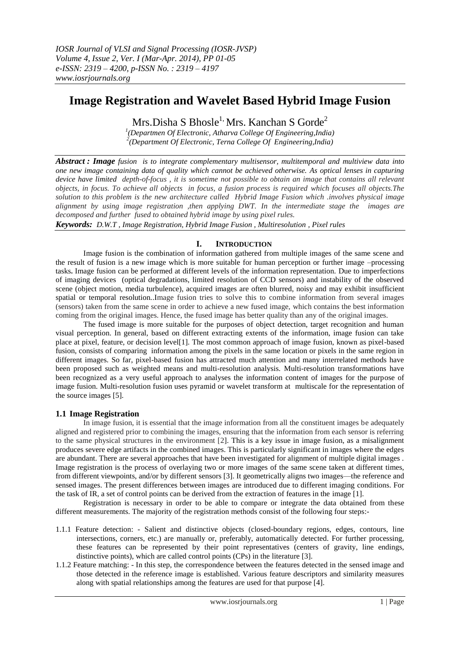# **Image Registration and Wavelet Based Hybrid Image Fusion**

Mrs.Disha S Bhosle<sup>1,</sup> Mrs. Kanchan S Gorde<sup>2</sup>

*1 (Departmen Of Electronic, Atharva College Of Engineering,India) 2 (Department Of Electronic, Terna College Of Engineering,India)*

*Abstract : Image fusion is to integrate complementary multisensor, multitemporal and multiview data into one new image containing data of quality which cannot be achieved otherwise. As optical lenses in capturing device have limited depth-of-focus , it is sometime not possible to obtain an image that contains all relevant objects, in focus. To achieve all objects in focus, a fusion process is required which focuses all objects.The solution to this problem is the new architecture called Hybrid Image Fusion which .involves physical image alignment by using image registration ,then applying DWT. In the intermediate stage the images are decomposed and further fused to obtained hybrid image by using pixel rules.*

*Keywords: D.W.T , Image Registration, Hybrid Image Fusion , Multiresolution , Pixel rules*

# **I. INTRODUCTION**

Image fusion is the combination of information gathered from multiple images of the same scene and the result of fusion is a new image which is more suitable for human perception or further image –processing tasks**.** Image fusion can be performed at different levels of the information representation. Due to imperfections of imaging devices (optical degradations, limited resolution of CCD sensors) and instability of the observed scene (object motion, media turbulence), acquired images are often blurred, noisy and may exhibit insufficient spatial or temporal resolution*.*.Image fusion tries to solve this to combine information from several images (sensors) taken from the same scene in order to achieve a new fused image, which contains the best information coming from the original images. Hence, the fused image has better quality than any of the original images.

The fused image is more suitable for the purposes of object detection, target recognition and human visual perception. In general, based on different extracting extents of the information, image fusion can take place at pixel, feature, or decision level[1]. The most common approach of image fusion, known as pixel-based fusion, consists of comparing information among the pixels in the same location or pixels in the same region in different images. So far, pixel-based fusion has attracted much attention and many interrelated methods have been proposed such as weighted means and multi-resolution analysis. Multi-resolution transformations have been recognized as a very useful approach to analyses the information content of images for the purpose of image fusion. Multi-resolution fusion uses pyramid or wavelet transform at multiscale for the representation of the source images [5].

# **1.1 Image Registration**

In image fusion, it is essential that the image information from all the constituent images be adequately aligned and registered prior to combining the images, ensuring that the information from each sensor is referring to the same physical structures in the environment [2]. This is a key issue in image fusion, as a misalignment produces severe edge artifacts in the combined images. This is particularly significant in images where the edges are abundant. There are several approaches that have been investigated for alignment of multiple digital images . Image registration is the process of overlaying two or more images of the same scene taken at different times, from different viewpoints, and/or by different sensors [3]. It geometrically aligns two images—the reference and sensed images. The present differences between images are introduced due to different imaging conditions. For the task of IR, a set of control points can be derived from the extraction of features in the image [1].

Registration is necessary in order to be able to compare or integrate the data obtained from these different measurements. The majority of the registration methods consist of the following four steps:-

- 1.1.1 Feature detection: Salient and distinctive objects (closed-boundary regions, edges, contours, line intersections, corners, etc.) are manually or, preferably, automatically detected. For further processing, these features can be represented by their point representatives (centers of gravity, line endings, distinctive points), which are called control points (CPs) in the literature [3].
- 1.1.2 Feature matching: In this step, the correspondence between the features detected in the sensed image and those detected in the reference image is established. Various feature descriptors and similarity measures along with spatial relationships among the features are used for that purpose [4].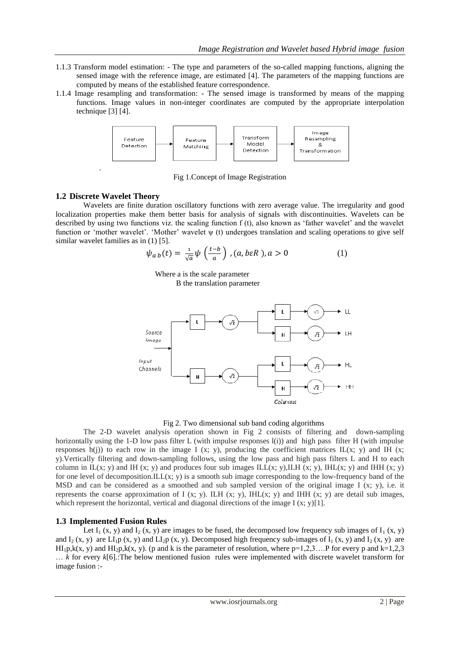- 1.1.3 Transform model estimation: The type and parameters of the so-called mapping functions, aligning the sensed image with the reference image, are estimated [4]. The parameters of the mapping functions are computed by means of the established feature correspondence.
- 1.1.4 Image resampling and transformation: The sensed image is transformed by means of the mapping functions. Image values in non-integer coordinates are computed by the appropriate interpolation technique [3] [4].



Fig 1.Concept of Image Registration

# **1.2 Discrete Wavelet Theory**

.

Wavelets are finite duration oscillatory functions with zero average value. The irregularity and good localization properties make them better basis for analysis of signals with discontinuities. Wavelets can be described by using two functions viz. the scaling function f (t), also known as 'father wavelet' and the wavelet function or 'mother wavelet'. 'Mother' wavelet ψ (t) undergoes translation and scaling operations to give self similar wavelet families as in  $(1)$  [5].

$$
\psi_{a b}(t) = \frac{1}{\sqrt{a}} \psi\left(\frac{t - b}{a}\right), (a, b \varepsilon R), a > 0 \tag{1}
$$

 Where a is the scale parameter B the translation parameter



## Fig 2. Two dimensional sub band coding algorithms

The 2-D wavelet analysis operation shown in Fig 2 consists of filtering and down-sampling horizontally using the 1-D low pass filter L (with impulse responses l(i)) and high pass filter H (with impulse responses h(j)) to each row in the image I (x; y), producing the coefficient matrices  $IL(x; y)$  and IH (x; y).Vertically filtering and down-sampling follows, using the low pass and high pass filters L and H to each column in IL(x; y) and IH (x; y) and produces four sub images ILL(x; y), ILH (x; y), IHL(x; y) and IHH (x; y) for one level of decomposition.ILL $(x, y)$  is a smooth sub image corresponding to the low-frequency band of the MSD and can be considered as a smoothed and sub sampled version of the original image I  $(x, y)$ , i.e. it represents the coarse approximation of I (x; y). ILH (x; y), IHL(x; y) and IHH (x; y) are detail sub images, which represent the horizontal, vertical and diagonal directions of the image  $I(x; y)[1]$ .

# **1.3 Implemented Fusion Rules**

Let  $I_1$  (x, y) and  $I_2$  (x, y) are images to be fused, the decomposed low frequency sub images of  $I_1$  (x, y) and  $I_2$  (x, y) are  $LI_1p(x, y)$  and  $LI_2p(x, y)$ . Decomposed high frequency sub-images of  $I_1(x, y)$  and  $I_2(x, y)$  are  $HI<sub>1</sub>p,k(x, y)$  and  $HI<sub>2</sub>p,k(x, y)$ . (p and k is the parameter of resolution, where p=1,2,3…. P for every p and k=1,2,3 … *k* for every *k*[6]*.*:The below mentioned fusion rules were implemented with discrete wavelet transform for image fusion :-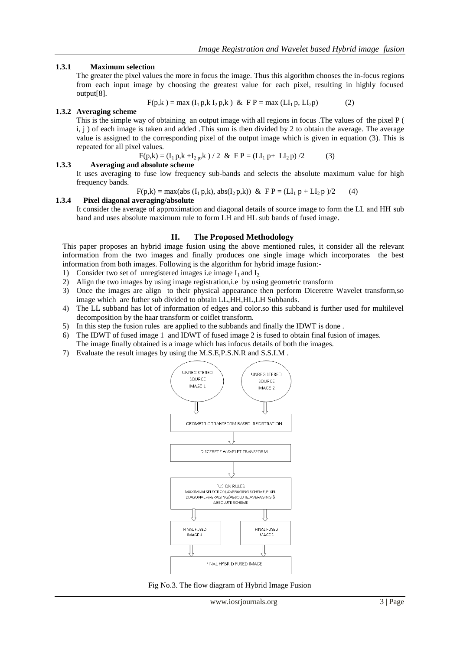## **1.3.1 Maximum selection**

The greater the pixel values the more in focus the image. Thus this algorithm chooses the in-focus regions from each input image by choosing the greatest value for each pixel, resulting in highly focused output[8].

$$
F(p,k) = max (I_1 p,k I_2 p,k) & F P = max (LI_1 p, LI_2 p)
$$
 (2)

#### **1.3.2 Averaging scheme**

This is the simple way of obtaining an output image with all regions in focus .The values of the pixel P ( i, j ) of each image is taken and added .This sum is then divided by 2 to obtain the average. The average value is assigned to the corresponding pixel of the output image which is given in equation (3). This is repeated for all pixel values.

$$
F(p,k) = (I_1 p,k + I_{2p}, k) / 2 \& F P = (LI_1 p + LI_2 p) / 2
$$
 (3)

## **1.3.3 Averaging and absolute scheme**

It uses averaging to fuse low frequency sub-bands and selects the absolute maximum value for high frequency bands.

 $F(p,k) = max(abs (I_1 p,k), abs(I_2 p,k))$  &  $FP = (LI_1 p + LI_2 p)/2$  (4)

# **1.3.4 Pixel diagonal averaging/absolute**

It consider the average of approximation and diagonal details of source image to form the LL and HH sub band and uses absolute maximum rule to form LH and HL sub bands of fused image.

#### **II. The Proposed Methodology**

This paper proposes an hybrid image fusion using the above mentioned rules, it consider all the relevant information from the two images and finally produces one single image which incorporates the best information from both images. Following is the algorithm for hybrid image fusion:-

- 1) Consider two set of unregistered images i.e image  $I_1$  and  $I_2$ .
- 2) Align the two images by using image registration,i.e by using geometric transform
- 3) Once the images are align to their physical appearance then perform Diceretre Wavelet transform,so image which are futher sub divided to obtain LL,HH,HL,LH Subbands.
- 4) The LL subband has lot of information of edges and color.so this subband is further used for multilevel decomposition by the haar transform or coiflet transform.
- 5) In this step the fusion rules are applied to the subbands and finally the IDWT is done .
- 6) The IDWT of fused image 1 and IDWT of fused image 2 is fused to obtain final fusion of images. The image finally obtained is a image which has infocus details of both the images.
- 7) Evaluate the result images by using the M.S.E,P.S.N.R and S.S.I.M .



Fig No.3. The flow diagram of Hybrid Image Fusion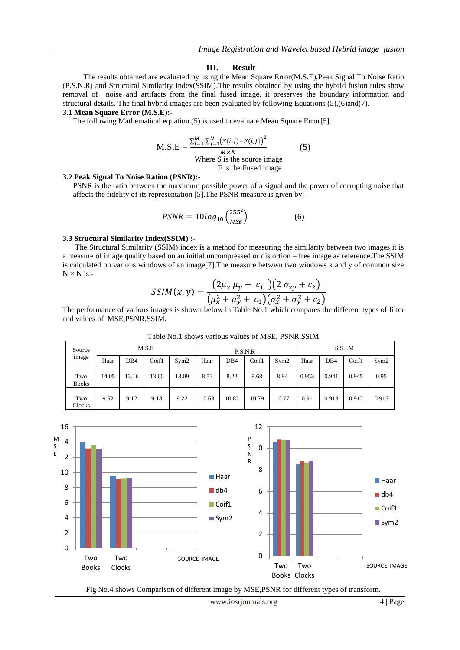#### **III. Result**

The results obtained are evaluated by using the Mean Square Error(M.S.E),Peak Signal To Noise Ratio (P.S.N.R) and Structural Similarity Index(SSIM).The results obtained by using the hybrid fusion rules show removal of noise and artifacts from the final fused image, it preserves the boundary information and structural details. The final hybrid images are been evaluated by following Equations (5),(6)and(7).

## **3.1 Mean Square Error (M.S.E):-**

The following Mathematical equation (5) is used to evaluate Mean Square Error[5].

$$
M.S.E = \frac{\sum_{I=1}^{M} \sum_{j=1}^{N} (s(i,j) - F(i,J))^2}{M \times N}
$$
  
Where S is the source image  
F is the Fused image

#### **3.2 Peak Signal To Noise Ration (PSNR):-**

PSNR is the ratio between the maximum possible power of a signal and the power of corrupting noise that affects the fidelity of its representation [5].The PSNR measure is given by:-

$$
PSNR = 10log_{10}\left(\frac{255^2}{MSE}\right) \tag{6}
$$

#### **3.3 Structural Similarity Index(SSIM) :-**

The Structural Similarity (SSIM) index is a method for measuring the similarity between two images;it is a measure of image quality based on an initial uncompressed or distortion – free image as reference.The SSIM is calculated on various windows of an image[7].The measure betwwn two windows x and y of common size  $N \times N$  is:-

$$
SSIM(x, y) = \frac{(2\mu_x \mu_y + c_1)(2 \sigma_{xy} + c_2)}{(\mu_x^2 + \mu_y^2 + c_1)(\sigma_x^2 + \sigma_y^2 + c_2)}
$$

The performance of various images is shown below in Table No.1 which compares the different types of filter and values of MSE,PSNR,SSIM.

| Source<br>image     | M.S.E |                 |       |       | P.S.N.R |                 |       |       | S.S.I.M |                 |       |       |
|---------------------|-------|-----------------|-------|-------|---------|-----------------|-------|-------|---------|-----------------|-------|-------|
|                     | Haar  | DB <sub>4</sub> | Coif1 | Sym2  | Haar    | DB <sub>4</sub> | Coif1 | Sym2  | Haar    | DB <sub>4</sub> | Coif1 | Sym2  |
| Two<br><b>Books</b> | 14.05 | 13.16           | 13.60 | 13.09 | 8.53    | 8.22            | 8.68  | 8.84  | 0.953   | 0.941           | 0.945 | 0.95  |
| Two<br>Clocks       | 9.52  | 9.12            | 9.18  | 9.22  | 10.63   | 10.82           | 10.79 | 10.77 | 0.91    | 0.913           | 0.912 | 0.915 |

Table No.1 shows various values of MSE, PSNR,SSIM



Fig No.4 shows Comparison of different image by MSE,PSNR for different types of transform.